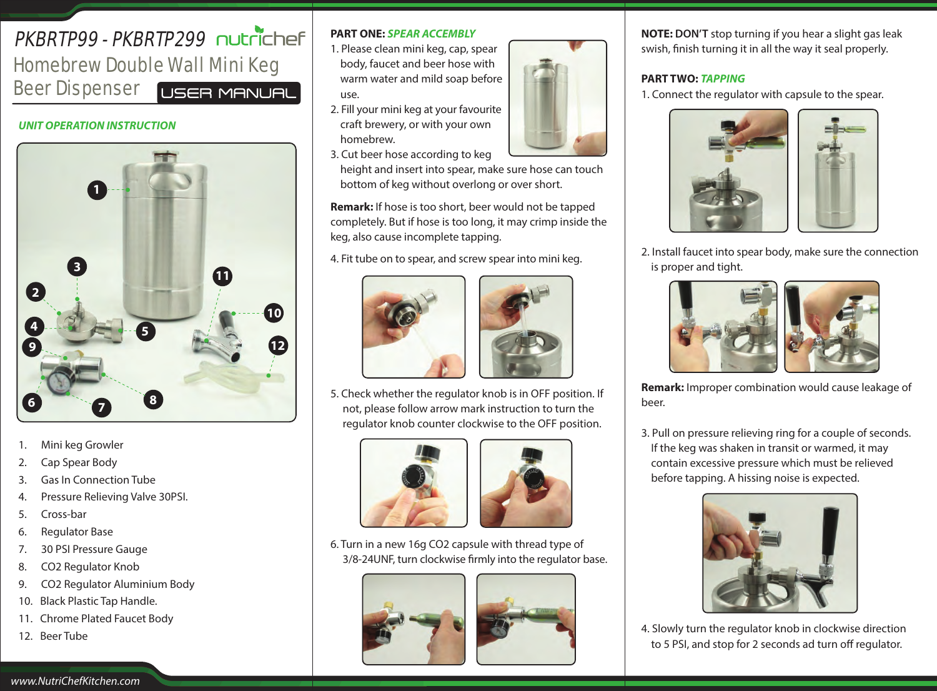# **PKRRTP99 - PKRRTP299 OUTCILLER** Homebrew Double Wall Mini Keg Beer Dispenser USER MANUAL

#### *UNIT OPERATION INSTRUCTION*



- 1. Mini keg Growler
- 2. Cap Spear Body
- 3. Gas In Connection Tube
- 4. Pressure Relieving Valve 30PSI.
- 5. Cross-bar
- 6. Regulator Base
- 7. 30 PSI Pressure Gauge
- 8. CO2 Regulator Knob
- 9. CO2 Regulator Aluminium Body
- 10. Black Plastic Tap Handle.
- 11. Chrome Plated Faucet Body
- 12. Beer Tube

# **PART ONE:** *SPEAR ACCEMBLY*

- 1. Please clean mini keg, cap, spear body, faucet and beer hose with warm water and mild soap before use.
- 2. Fill your mini keg at your favourite craft brewery, or with your own homebrew.
- 3. Cut beer hose according to keg

 height and insert into spear, make sure hose can touch bottom of keg without overlong or over short.

**Remark:** If hose is too short, beer would not be tapped completely. But if hose is too long, it may crimp inside the keg, also cause incomplete tapping.

4. Fit tube on to spear, and screw spear into mini keg.





5. Check whether the regulator knob is in OFF position. If not, please follow arrow mark instruction to turn the regulator knob counter clockwise to the OFF position.





6. Turn in a new 16g CO2 capsule with thread type of 3/8-24UNF, turn clockwise firmly into the regulator base.





**NOTE: DON'T** stop turning if you hear a slight gas leak swish, finish turning it in all the way it seal properly.

# **PART TWO:** *TAPPING*

1. Connect the regulator with capsule to the spear.



2. Install faucet into spear body, make sure the connection is proper and tight.



**Remark:** Improper combination would cause leakage of beer.

3. Pull on pressure relieving ring for a couple of seconds. If the keg was shaken in transit or warmed, it may contain excessive pressure which must be relieved before tapping. A hissing noise is expected.



4. Slowly turn the regulator knob in clockwise direction to 5 PSI, and stop for 2 seconds ad turn off regulator.